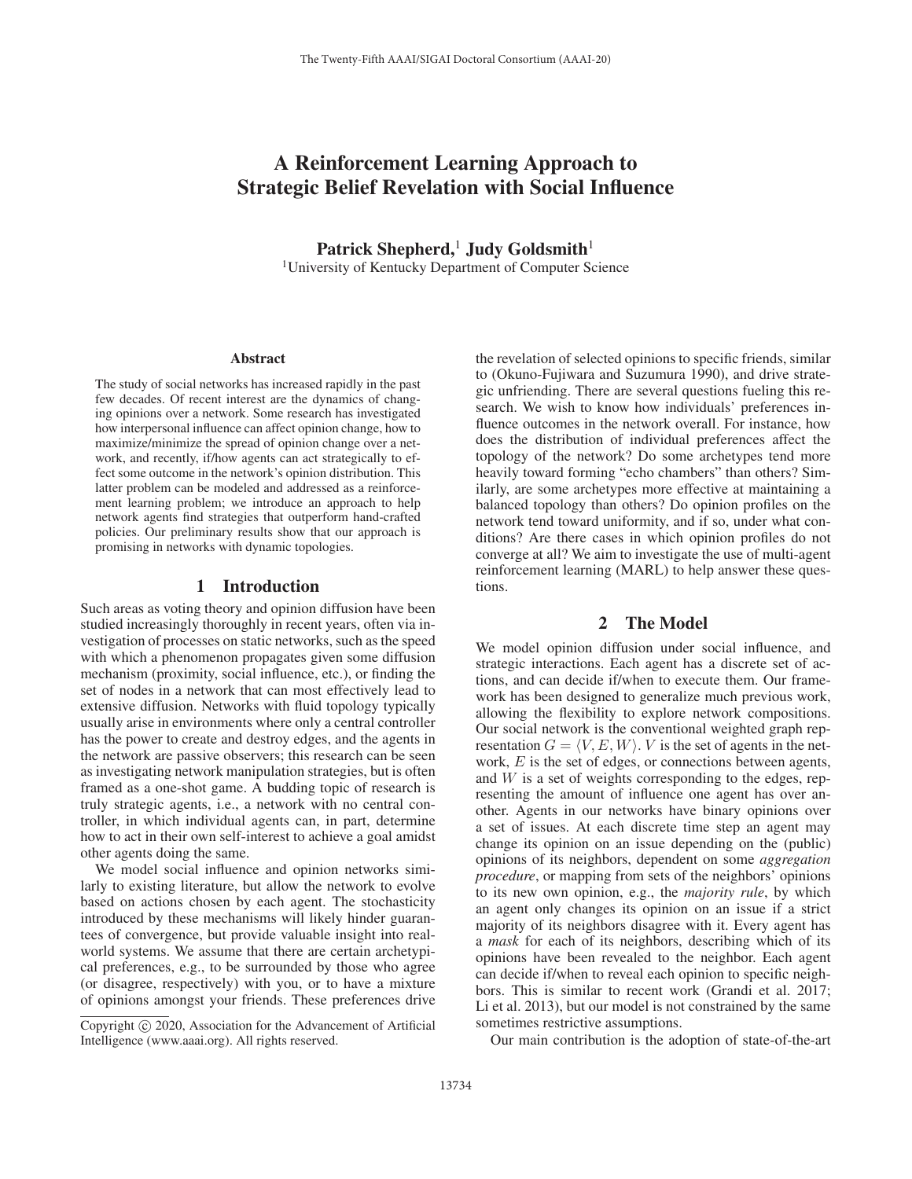# A Reinforcement Learning Approach to Strategic Belief Revelation with Social Influence

Patrick Shepherd,<sup>1</sup> Judy Goldsmith<sup>1</sup> 1University of Kentucky Department of Computer Science

#### Abstract

The study of social networks has increased rapidly in the past few decades. Of recent interest are the dynamics of changing opinions over a network. Some research has investigated how interpersonal influence can affect opinion change, how to maximize/minimize the spread of opinion change over a network, and recently, if/how agents can act strategically to effect some outcome in the network's opinion distribution. This latter problem can be modeled and addressed as a reinforcement learning problem; we introduce an approach to help network agents find strategies that outperform hand-crafted policies. Our preliminary results show that our approach is promising in networks with dynamic topologies.

### 1 Introduction

Such areas as voting theory and opinion diffusion have been studied increasingly thoroughly in recent years, often via investigation of processes on static networks, such as the speed with which a phenomenon propagates given some diffusion mechanism (proximity, social influence, etc.), or finding the set of nodes in a network that can most effectively lead to extensive diffusion. Networks with fluid topology typically usually arise in environments where only a central controller has the power to create and destroy edges, and the agents in the network are passive observers; this research can be seen as investigating network manipulation strategies, but is often framed as a one-shot game. A budding topic of research is truly strategic agents, i.e., a network with no central controller, in which individual agents can, in part, determine how to act in their own self-interest to achieve a goal amidst other agents doing the same.

We model social influence and opinion networks similarly to existing literature, but allow the network to evolve based on actions chosen by each agent. The stochasticity introduced by these mechanisms will likely hinder guarantees of convergence, but provide valuable insight into realworld systems. We assume that there are certain archetypical preferences, e.g., to be surrounded by those who agree (or disagree, respectively) with you, or to have a mixture of opinions amongst your friends. These preferences drive

the revelation of selected opinions to specific friends, similar to (Okuno-Fujiwara and Suzumura 1990), and drive strategic unfriending. There are several questions fueling this research. We wish to know how individuals' preferences influence outcomes in the network overall. For instance, how does the distribution of individual preferences affect the topology of the network? Do some archetypes tend more heavily toward forming "echo chambers" than others? Similarly, are some archetypes more effective at maintaining a balanced topology than others? Do opinion profiles on the network tend toward uniformity, and if so, under what conditions? Are there cases in which opinion profiles do not converge at all? We aim to investigate the use of multi-agent reinforcement learning (MARL) to help answer these questions.

## 2 The Model

We model opinion diffusion under social influence, and strategic interactions. Each agent has a discrete set of actions, and can decide if/when to execute them. Our framework has been designed to generalize much previous work, allowing the flexibility to explore network compositions. Our social network is the conventional weighted graph representation  $G = \langle V, E, W \rangle$ . V is the set of agents in the network, E is the set of edges, or connections between agents, and  $W$  is a set of weights corresponding to the edges, representing the amount of influence one agent has over another. Agents in our networks have binary opinions over a set of issues. At each discrete time step an agent may change its opinion on an issue depending on the (public) opinions of its neighbors, dependent on some *aggregation procedure*, or mapping from sets of the neighbors' opinions to its new own opinion, e.g., the *majority rule*, by which an agent only changes its opinion on an issue if a strict majority of its neighbors disagree with it. Every agent has a *mask* for each of its neighbors, describing which of its opinions have been revealed to the neighbor. Each agent can decide if/when to reveal each opinion to specific neighbors. This is similar to recent work (Grandi et al. 2017; Li et al. 2013), but our model is not constrained by the same sometimes restrictive assumptions.

Our main contribution is the adoption of state-of-the-art

Copyright  $\odot$  2020, Association for the Advancement of Artificial Intelligence (www.aaai.org). All rights reserved.